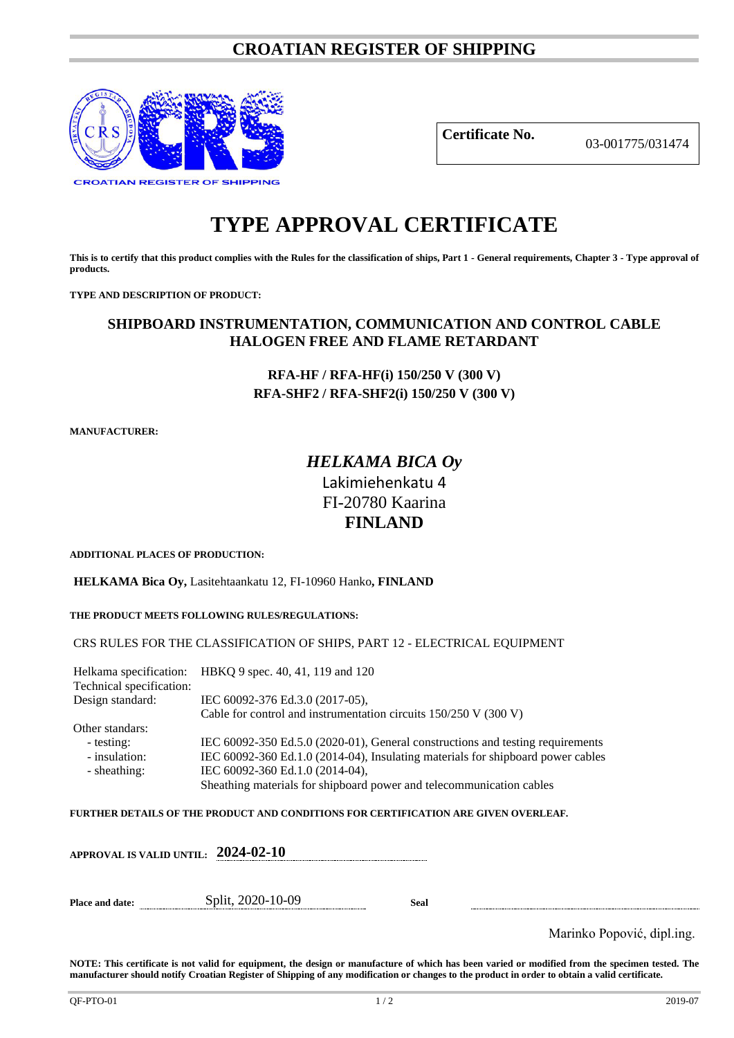# **CROATIAN REGISTER OF SHIPPING**



**Certificate No.** 03-001775/031474

# **TYPE APPROVAL CERTIFICATE**

**This is to certify that this product complies with the Rules for the classification of ships, Part 1 - General requirements, Chapter 3 - Type approval of products.**

**TYPE AND DESCRIPTION OF PRODUCT:** 

# **SHIPBOARD INSTRUMENTATION, COMMUNICATION AND CONTROL CABLE HALOGEN FREE AND FLAME RETARDANT**

# **RFA-HF / RFA-HF(i) 150/250 V (300 V) RFA-SHF2 / RFA-SHF2(i) 150/250 V (300 V)**

**MANUFACTURER:**

# *HELKAMA BICA Oy* Lakimiehenkatu 4 FI-20780 Kaarina **FINLAND**

**ADDITIONAL PLACES OF PRODUCTION:**

**HELKAMA Bica Oy,** Lasitehtaankatu 12, FI-10960 Hanko**, FINLAND**

**THE PRODUCT MEETS FOLLOWING RULES/REGULATIONS:**

CRS RULES FOR THE CLASSIFICATION OF SHIPS, PART 12 - ELECTRICAL EQUIPMENT

Helkama specification: HBKQ 9 spec. 40, 41, 119 and 120 Technical specification: Design standard: IEC 60092-376 Ed.3.0 (2017-05), Cable for control and instrumentation circuits 150/250 V (300 V) Other standars: - testing: IEC 60092-350 Ed.5.0 (2020-01), General constructions and testing requirements<br>- insulation: IEC 60092-360 Ed.1.0 (2014-04), Insulating materials for shipboard power cables IEC 60092-360 Ed.1.0 (2014-04), Insulating materials for shipboard power cables - sheathing: IEC 60092-360 Ed.1.0 (2014-04), Sheathing materials for shipboard power and telecommunication cables

**FURTHER DETAILS OF THE PRODUCT AND CONDITIONS FOR CERTIFICATION ARE GIVEN OVERLEAF.**

|                 | APPROVAL IS VALID UNTIL: $\,$ 2024-02-10 $\,$ |      |                            |
|-----------------|-----------------------------------------------|------|----------------------------|
| Place and date: | Split, 2020-10-09                             | Seal |                            |
|                 |                                               |      | Marinko Popović, dipl.ing. |

**NOTE: This certificate is not valid for equipment, the design or manufacture of which has been varied or modified from the specimen tested. The manufacturer should notify Croatian Register of Shipping of any modification or changes to the product in order to obtain a valid certificate.**